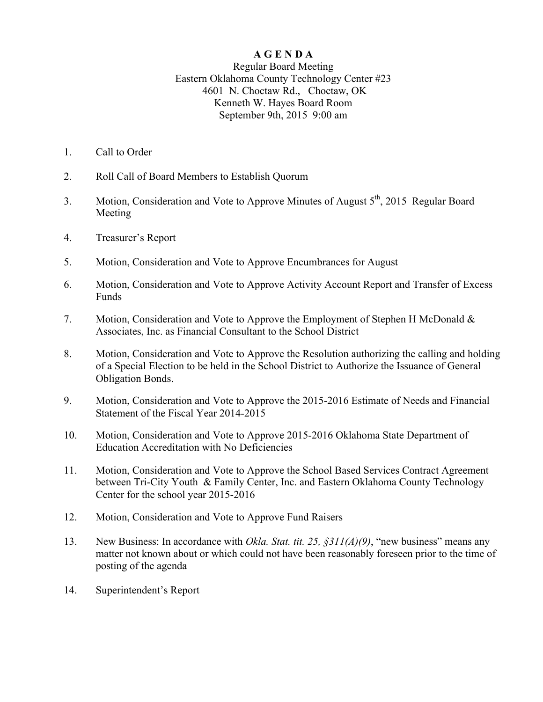## **A G E N D A**

## Regular Board Meeting Eastern Oklahoma County Technology Center #23 4601 N. Choctaw Rd., Choctaw, OK Kenneth W. Hayes Board Room September 9th, 2015 9:00 am

- 1. Call to Order
- 2. Roll Call of Board Members to Establish Quorum
- 3. Motion, Consideration and Vote to Approve Minutes of August  $5<sup>th</sup>$ , 2015 Regular Board Meeting
- 4. Treasurer's Report
- 5. Motion, Consideration and Vote to Approve Encumbrances for August
- 6. Motion, Consideration and Vote to Approve Activity Account Report and Transfer of Excess Funds
- 7. Motion, Consideration and Vote to Approve the Employment of Stephen H McDonald & Associates, Inc. as Financial Consultant to the School District
- 8. Motion, Consideration and Vote to Approve the Resolution authorizing the calling and holding of a Special Election to be held in the School District to Authorize the Issuance of General Obligation Bonds.
- 9. Motion, Consideration and Vote to Approve the 2015-2016 Estimate of Needs and Financial Statement of the Fiscal Year 2014-2015
- 10. Motion, Consideration and Vote to Approve 2015-2016 Oklahoma State Department of Education Accreditation with No Deficiencies
- 11. Motion, Consideration and Vote to Approve the School Based Services Contract Agreement between Tri-City Youth & Family Center, Inc. and Eastern Oklahoma County Technology Center for the school year 2015-2016
- 12. Motion, Consideration and Vote to Approve Fund Raisers
- 13. New Business: In accordance with *Okla. Stat. tit. 25, §311(A)(9)*, "new business" means any matter not known about or which could not have been reasonably foreseen prior to the time of posting of the agenda
- 14. Superintendent's Report